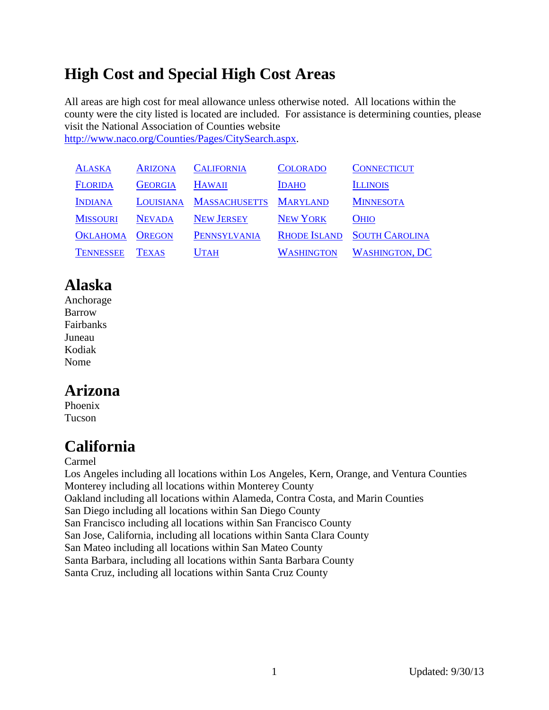# **High Cost and Special High Cost Areas**

All areas are high cost for meal allowance unless otherwise noted. All locations within the county were the city listed is located are included. For assistance is determining counties, please visit the National Association of Counties website [http://www.naco.org/Counties/Pages/CitySearch.aspx.](http://www.naco.org/Counties/Pages/CitySearch.aspx)

| <b>ALASKA</b>    | <b>ARIZONA</b> | <b>CALIFORNIA</b>    | <b>COLORADO</b>     | <b>CONNECTICUT</b>    |
|------------------|----------------|----------------------|---------------------|-----------------------|
| <b>FLORIDA</b>   | <b>GEORGIA</b> | <b>HAWAII</b>        | <b>IDAHO</b>        | <b>ILLINOIS</b>       |
| <b>INDIANA</b>   | LOUISIANA      | <b>MASSACHUSETTS</b> | <b>MARYLAND</b>     | <b>MINNESOTA</b>      |
| <b>MISSOURI</b>  | <b>NEVADA</b>  | <b>NEW JERSEY</b>    | <b>NEW YORK</b>     | <b>OHIO</b>           |
| <b>OKLAHOMA</b>  | <b>OREGON</b>  | PENNSYLVANIA         | <b>RHODE ISLAND</b> | <b>SOUTH CAROLINA</b> |
| <b>TENNESSEE</b> | TEXAS          | <b>UTAH</b>          | <b>WASHINGTON</b>   | <b>WASHINGTON, DC</b> |

# <span id="page-0-0"></span>**Alaska**

Anchorage Barrow Fairbanks Juneau Kodiak Nome

## <span id="page-0-1"></span>**Arizona**

Phoenix Tucson

# <span id="page-0-2"></span>**California**

Carmel

Los Angeles including all locations within Los Angeles, Kern, Orange, and Ventura Counties Monterey including all locations within Monterey County Oakland including all locations within Alameda, Contra Costa, and Marin Counties San Diego including all locations within San Diego County San Francisco including all locations within San Francisco County San Jose, California, including all locations within Santa Clara County San Mateo including all locations within San Mateo County Santa Barbara, including all locations within Santa Barbara County Santa Cruz, including all locations within Santa Cruz County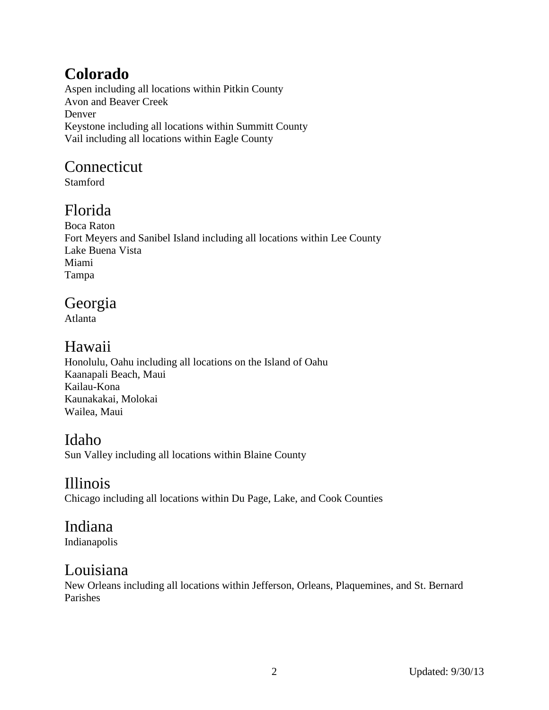# <span id="page-1-0"></span>**Colorado**

Aspen including all locations within Pitkin County Avon and Beaver Creek Denver Keystone including all locations within Summitt County Vail including all locations within Eagle County

# <span id="page-1-1"></span>Connecticut

Stamford

## <span id="page-1-2"></span>Florida

Boca Raton Fort Meyers and Sanibel Island including all locations within Lee County Lake Buena Vista Miami Tampa

### <span id="page-1-3"></span>Georgia

Atlanta

# <span id="page-1-4"></span>Hawaii

Honolulu, Oahu including all locations on the Island of Oahu Kaanapali Beach, Maui Kailau-Kona Kaunakakai, Molokai Wailea, Maui

## <span id="page-1-5"></span>Idaho

Sun Valley including all locations within Blaine County

# <span id="page-1-6"></span>Illinois

Chicago including all locations within Du Page, Lake, and Cook Counties

### <span id="page-1-7"></span>Indiana

Indianapolis

## <span id="page-1-8"></span>Louisiana

New Orleans including all locations within Jefferson, Orleans, Plaquemines, and St. Bernard Parishes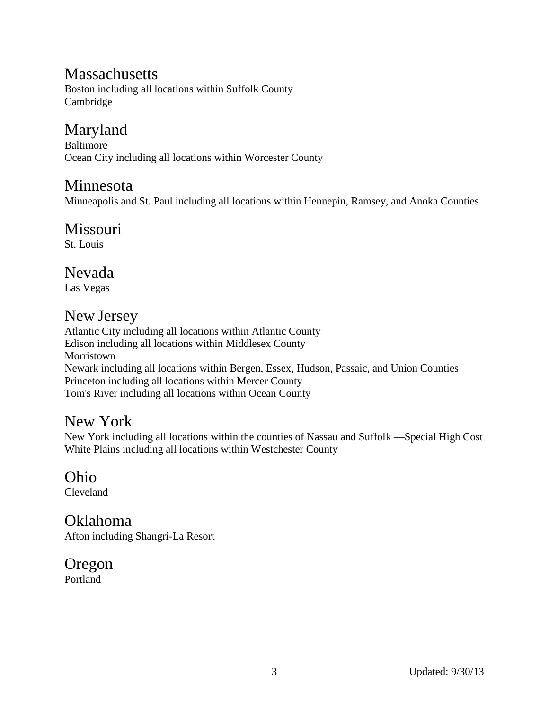#### <span id="page-2-0"></span>**Massachusetts**

Boston including all locations within Suffolk County Cambridge

## <span id="page-2-1"></span>Maryland

Baltimore Ocean City including all locations within Worcester County

#### <span id="page-2-2"></span>Minnesota

Minneapolis and St. Paul including all locations within Hennepin, Ramsey, and Anoka Counties

### <span id="page-2-3"></span>**Missouri**

St. Louis

#### <span id="page-2-4"></span>Nevada

Las Vegas

#### <span id="page-2-5"></span>New Jersey

Atlantic City including all locations within Atlantic County Edison including all locations within Middlesex County Morristown Newark including all locations within Bergen, Essex, Hudson, Passaic, and Union Counties Princeton including all locations within Mercer County Tom's River including all locations within Ocean County

#### <span id="page-2-6"></span>New York

New York including all locations within the counties of Nassau and Suffolk —Special High Cost White Plains including all locations within Westchester County

<span id="page-2-7"></span>Ohio Cleveland

<span id="page-2-8"></span>Oklahoma Afton including Shangri-La Resort

<span id="page-2-9"></span>Oregon

Portland